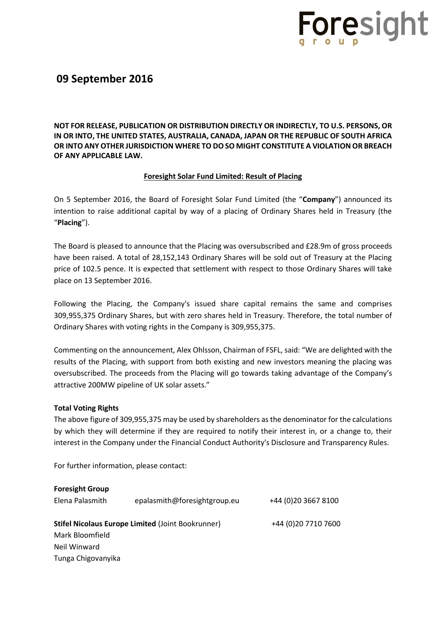

### **09 September 2016**

**NOT FOR RELEASE, PUBLICATION OR DISTRIBUTION DIRECTLY OR INDIRECTLY, TO U.S. PERSONS, OR IN OR INTO, THE UNITED STATES, AUSTRALIA, CANADA, JAPAN OR THE REPUBLIC OF SOUTH AFRICA OR INTO ANY OTHER JURISDICTION WHERE TO DO SO MIGHT CONSTITUTE A VIOLATION OR BREACH OF ANY APPLICABLE LAW.**

### **Foresight Solar Fund Limited: Result of Placing**

On 5 September 2016, the Board of Foresight Solar Fund Limited (the "**Company**") announced its intention to raise additional capital by way of a placing of Ordinary Shares held in Treasury (the "**Placing**").

The Board is pleased to announce that the Placing was oversubscribed and £28.9m of gross proceeds have been raised. A total of 28,152,143 Ordinary Shares will be sold out of Treasury at the Placing price of 102.5 pence. It is expected that settlement with respect to those Ordinary Shares will take place on 13 September 2016.

Following the Placing, the Company's issued share capital remains the same and comprises 309,955,375 Ordinary Shares, but with zero shares held in Treasury. Therefore, the total number of Ordinary Shares with voting rights in the Company is 309,955,375.

Commenting on the announcement, Alex Ohlsson, Chairman of FSFL, said: "We are delighted with the results of the Placing, with support from both existing and new investors meaning the placing was oversubscribed. The proceeds from the Placing will go towards taking advantage of the Company's attractive 200MW pipeline of UK solar assets."

### **Total Voting Rights**

The above figure of 309,955,375 may be used by shareholders as the denominator for the calculations by which they will determine if they are required to notify their interest in, or a change to, their interest in the Company under the Financial Conduct Authority's Disclosure and Transparency Rules.

For further information, please contact:

| <b>Foresight Group</b>                            |                              |                      |
|---------------------------------------------------|------------------------------|----------------------|
| Elena Palasmith                                   | epalasmith@foresightgroup.eu | +44 (0) 20 3667 8100 |
| Stifel Nicolaus Europe Limited (Joint Bookrunner) |                              | +44 (0)20 7710 7600  |
| Mark Bloomfield                                   |                              |                      |
| Neil Winward                                      |                              |                      |
| Tunga Chigovanyika                                |                              |                      |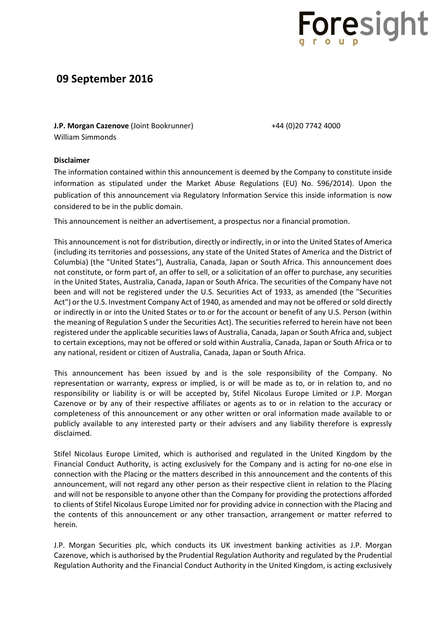

## **09 September 2016**

**J.P. Morgan Cazenove** (Joint Bookrunner)  $+44$  (0)20 7742 4000 William Simmonds

#### **Disclaimer**

The information contained within this announcement is deemed by the Company to constitute inside information as stipulated under the Market Abuse Regulations (EU) No. 596/2014). Upon the publication of this announcement via Regulatory Information Service this inside information is now considered to be in the public domain.

This announcement is neither an advertisement, a prospectus nor a financial promotion.

This announcement is not for distribution, directly or indirectly, in or into the United States of America (including its territories and possessions, any state of the United States of America and the District of Columbia) (the "United States"), Australia, Canada, Japan or South Africa. This announcement does not constitute, or form part of, an offer to sell, or a solicitation of an offer to purchase, any securities in the United States, Australia, Canada, Japan or South Africa. The securities of the Company have not been and will not be registered under the U.S. Securities Act of 1933, as amended (the "Securities Act") or the U.S. Investment Company Act of 1940, as amended and may not be offered or sold directly or indirectly in or into the United States or to or for the account or benefit of any U.S. Person (within the meaning of Regulation S under the Securities Act). The securities referred to herein have not been registered under the applicable securities laws of Australia, Canada, Japan or South Africa and, subject to certain exceptions, may not be offered or sold within Australia, Canada, Japan or South Africa or to any national, resident or citizen of Australia, Canada, Japan or South Africa.

This announcement has been issued by and is the sole responsibility of the Company. No representation or warranty, express or implied, is or will be made as to, or in relation to, and no responsibility or liability is or will be accepted by, Stifel Nicolaus Europe Limited or J.P. Morgan Cazenove or by any of their respective affiliates or agents as to or in relation to the accuracy or completeness of this announcement or any other written or oral information made available to or publicly available to any interested party or their advisers and any liability therefore is expressly disclaimed.

Stifel Nicolaus Europe Limited, which is authorised and regulated in the United Kingdom by the Financial Conduct Authority, is acting exclusively for the Company and is acting for no-one else in connection with the Placing or the matters described in this announcement and the contents of this announcement, will not regard any other person as their respective client in relation to the Placing and will not be responsible to anyone other than the Company for providing the protections afforded to clients of Stifel Nicolaus Europe Limited nor for providing advice in connection with the Placing and the contents of this announcement or any other transaction, arrangement or matter referred to herein.

J.P. Morgan Securities plc, which conducts its UK investment banking activities as J.P. Morgan Cazenove, which is authorised by the Prudential Regulation Authority and regulated by the Prudential Regulation Authority and the Financial Conduct Authority in the United Kingdom, is acting exclusively